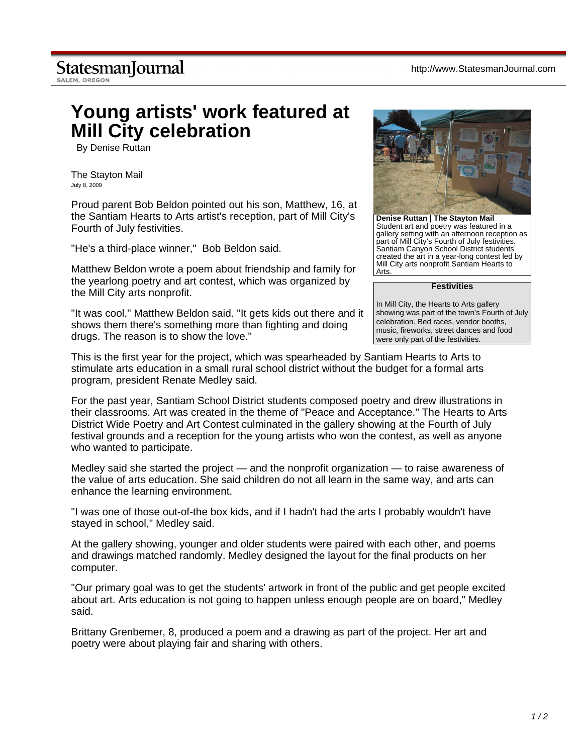## **StatesmanJournal**

SALEM, OREGON

## **Young artists' work featured at Mill City celebration**

By Denise Ruttan

The Stayton Mail July 8, 2009

Proud parent Bob Beldon pointed out his son, Matthew, 16, at the Santiam Hearts to Arts artist's reception, part of Mill City's Fourth of July festivities.

"He's a third-place winner," Bob Beldon said.

Matthew Beldon wrote a poem about friendship and family for the yearlong poetry and art contest, which was organized by the Mill City arts nonprofit.

"It was cool," Matthew Beldon said. "It gets kids out there and it shows them there's something more than fighting and doing drugs. The reason is to show the love."



**Denise Ruttan | The Stayton Mail** Student art and poetry was featured in a gallery setting with an afternoon reception as part of Mill City's Fourth of July festivities. Santiam Canyon School District students created the art in a year-long contest led by Mill City arts nonprofit Santiam Hearts to Arts.

**Festivities**

In Mill City, the Hearts to Arts gallery showing was part of the town's Fourth of July celebration. Bed races, vendor booths, music, fireworks, street dances and food were only part of the festivities.

This is the first year for the project, which was spearheaded by Santiam Hearts to Arts to stimulate arts education in a small rural school district without the budget for a formal arts program, president Renate Medley said.

For the past year, Santiam School District students composed poetry and drew illustrations in their classrooms. Art was created in the theme of "Peace and Acceptance." The Hearts to Arts District Wide Poetry and Art Contest culminated in the gallery showing at the Fourth of July festival grounds and a reception for the young artists who won the contest, as well as anyone who wanted to participate.

Medley said she started the project — and the nonprofit organization — to raise awareness of the value of arts education. She said children do not all learn in the same way, and arts can enhance the learning environment.

"I was one of those out-of-the box kids, and if I hadn't had the arts I probably wouldn't have stayed in school," Medley said.

At the gallery showing, younger and older students were paired with each other, and poems and drawings matched randomly. Medley designed the layout for the final products on her computer.

"Our primary goal was to get the students' artwork in front of the public and get people excited about art. Arts education is not going to happen unless enough people are on board," Medley said.

Brittany Grenbemer, 8, produced a poem and a drawing as part of the project. Her art and poetry were about playing fair and sharing with others.